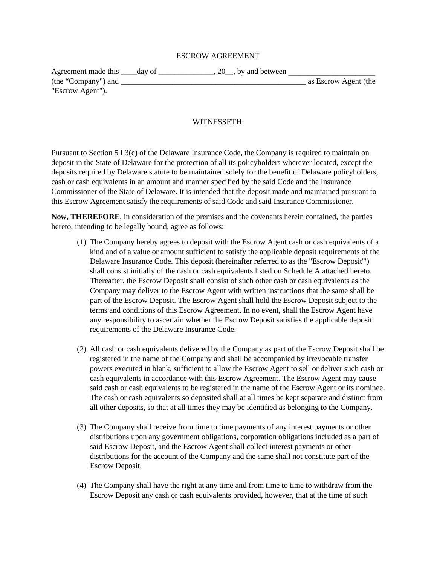#### ESCROW AGREEMENT

| Agreement made this _____day of |  | $, 20$ , by and between |                      |  |
|---------------------------------|--|-------------------------|----------------------|--|
| (the "Company") and             |  |                         | as Escrow Agent (the |  |
| "Escrow Agent").                |  |                         |                      |  |

#### WITNESSETH:

Pursuant to Section 5 I 3(c) of the Delaware Insurance Code, the Company is required to maintain on deposit in the State of Delaware for the protection of all its policyholders wherever located, except the deposits required by Delaware statute to be maintained solely for the benefit of Delaware policyholders, cash or cash equivalents in an amount and manner specified by the said Code and the Insurance Commissioner of the State of Delaware. It is intended that the deposit made and maintained pursuant to this Escrow Agreement satisfy the requirements of said Code and said Insurance Commissioner.

**Now, THEREFORE**, in consideration of the premises and the covenants herein contained, the parties hereto, intending to be legally bound, agree as follows:

- (1) The Company hereby agrees to deposit with the Escrow Agent cash or cash equivalents of a kind and of a value or amount sufficient to satisfy the applicable deposit requirements of the Delaware Insurance Code. This deposit (hereinafter referred to as the "Escrow Deposit'") shall consist initially of the cash or cash equivalents listed on Schedule A attached hereto. Thereafter, the Escrow Deposit shall consist of such other cash or cash equivalents as the Company may deliver to the Escrow Agent with written instructions that the same shall be part of the Escrow Deposit. The Escrow Agent shall hold the Escrow Deposit subject to the terms and conditions of this Escrow Agreement. In no event, shall the Escrow Agent have any responsibility to ascertain whether the Escrow Deposit satisfies the applicable deposit requirements of the Delaware Insurance Code.
- (2) All cash or cash equivalents delivered by the Company as part of the Escrow Deposit shall be registered in the name of the Company and shall be accompanied by irrevocable transfer powers executed in blank, sufficient to allow the Escrow Agent to sell or deliver such cash or cash equivalents in accordance with this Escrow Agreement. The Escrow Agent may cause said cash or cash equivalents to be registered in the name of the Escrow Agent or its nominee. The cash or cash equivalents so deposited shall at all times be kept separate and distinct from all other deposits, so that at all times they may be identified as belonging to the Company.
- (3) The Company shall receive from time to time payments of any interest payments or other distributions upon any government obligations, corporation obligations included as a part of said Escrow Deposit, and the Escrow Agent shall collect interest payments or other distributions for the account of the Company and the same shall not constitute part of the Escrow Deposit.
- (4) The Company shall have the right at any time and from time to time to withdraw from the Escrow Deposit any cash or cash equivalents provided, however, that at the time of such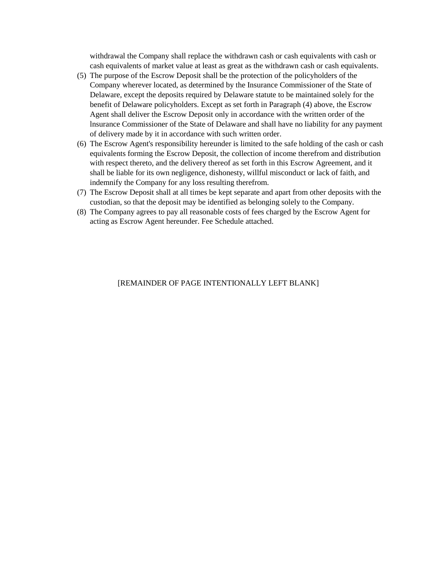withdrawal the Company shall replace the withdrawn cash or cash equivalents with cash or cash equivalents of market value at least as great as the withdrawn cash or cash equivalents.

- (5) The purpose of the Escrow Deposit shall be the protection of the policyholders of the Company wherever located, as determined by the Insurance Commissioner of the State of Delaware, except the deposits required by Delaware statute to be maintained solely for the benefit of Delaware policyholders. Except as set forth in Paragraph (4) above, the Escrow Agent shall deliver the Escrow Deposit only in accordance with the written order of the lnsurance Commissioner of the State of Delaware and shall have no liability for any payment of delivery made by it in accordance with such written order.
- (6) The Escrow Agent's responsibility hereunder is limited to the safe holding of the cash or cash equivalents forming the Escrow Deposit, the collection of income therefrom and distribution with respect thereto, and the delivery thereof as set forth in this Escrow Agreement, and it shall be liable for its own negligence, dishonesty, willful misconduct or lack of faith, and indemnify the Company for any loss resulting therefrom.
- (7) The Escrow Deposit shall at all times be kept separate and apart from other deposits with the custodian, so that the deposit may be identified as belonging solely to the Company.
- (8) The Company agrees to pay all reasonable costs of fees charged by the Escrow Agent for acting as Escrow Agent hereunder. Fee Schedule attached.

### [REMAINDER OF PAGE INTENTIONALLY LEFT BLANK]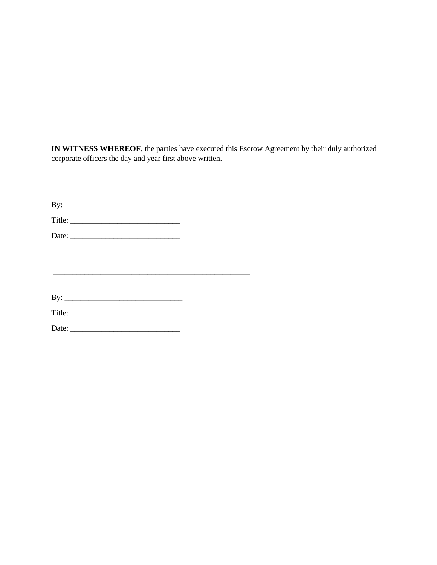**IN WITNESS WHEREOF**, the parties have executed this Escrow Agreement by their duly authorized corporate officers the day and year first above written.

By: \_\_\_\_\_\_\_\_\_\_\_\_\_\_\_\_\_\_\_\_\_\_\_\_\_\_\_\_\_\_

 $\mathcal{L}_\text{max}$  , and the contract of the contract of the contract of the contract of the contract of the contract of the contract of the contract of the contract of the contract of the contract of the contract of the contr

 $\mathcal{L}_\text{max}$  , and the contract of the contract of the contract of the contract of the contract of the contract of the contract of the contract of the contract of the contract of the contract of the contract of the contr

Title: \_\_\_\_\_\_\_\_\_\_\_\_\_\_\_\_\_\_\_\_\_\_\_\_\_\_\_\_

Date: \_\_\_\_\_\_\_\_\_\_\_\_\_\_\_\_\_\_\_\_\_\_\_\_\_\_\_\_

By: \_\_\_\_\_\_\_\_\_\_\_\_\_\_\_\_\_\_\_\_\_\_\_\_\_\_\_\_\_\_

Title: \_\_\_\_\_\_\_\_\_\_\_\_\_\_\_\_\_\_\_\_\_\_\_\_\_\_\_\_

Date: \_\_\_\_\_\_\_\_\_\_\_\_\_\_\_\_\_\_\_\_\_\_\_\_\_\_\_\_